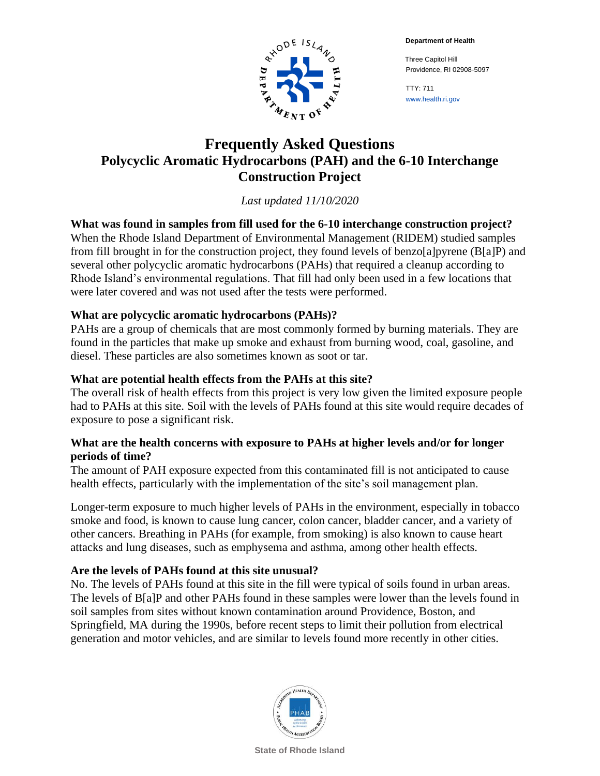**Department of Health**



 Three Capitol Hill Providence, RI 02908-5097

TTY: 711 www.health.ri.gov

# **Frequently Asked Questions Polycyclic Aromatic Hydrocarbons (PAH) and the 6-10 Interchange Construction Project**

*Last updated 11/10/2020*

**What was found in samples from fill used for the 6-10 interchange construction project?** When the Rhode Island Department of Environmental Management (RIDEM) studied samples from fill brought in for the construction project, they found levels of benzo[a]pyrene (B[a]P) and several other polycyclic aromatic hydrocarbons (PAHs) that required a cleanup according to Rhode Island's environmental regulations. That fill had only been used in a few locations that were later covered and was not used after the tests were performed.

# **What are polycyclic aromatic hydrocarbons (PAHs)?**

PAHs are a group of chemicals that are most commonly formed by burning materials. They are found in the particles that make up smoke and exhaust from burning wood, coal, gasoline, and diesel. These particles are also sometimes known as soot or tar.

# **What are potential health effects from the PAHs at this site?**

The overall risk of health effects from this project is very low given the limited exposure people had to PAHs at this site. Soil with the levels of PAHs found at this site would require decades of exposure to pose a significant risk.

### **What are the health concerns with exposure to PAHs at higher levels and/or for longer periods of time?**

The amount of PAH exposure expected from this contaminated fill is not anticipated to cause health effects, particularly with the implementation of the site's soil management plan.

Longer-term exposure to much higher levels of PAHs in the environment, especially in tobacco smoke and food, is known to cause lung cancer, colon cancer, bladder cancer, and a variety of other cancers. Breathing in PAHs (for example, from smoking) is also known to cause heart attacks and lung diseases, such as emphysema and asthma, among other health effects.

# **Are the levels of PAHs found at this site unusual?**

No. The levels of PAHs found at this site in the fill were typical of soils found in urban areas. The levels of B[a]P and other PAHs found in these samples were lower than the levels found in soil samples from sites without known contamination around Providence, Boston, and Springfield, MA during the 1990s, before recent steps to limit their pollution from electrical generation and motor vehicles, and are similar to levels found more recently in other cities.